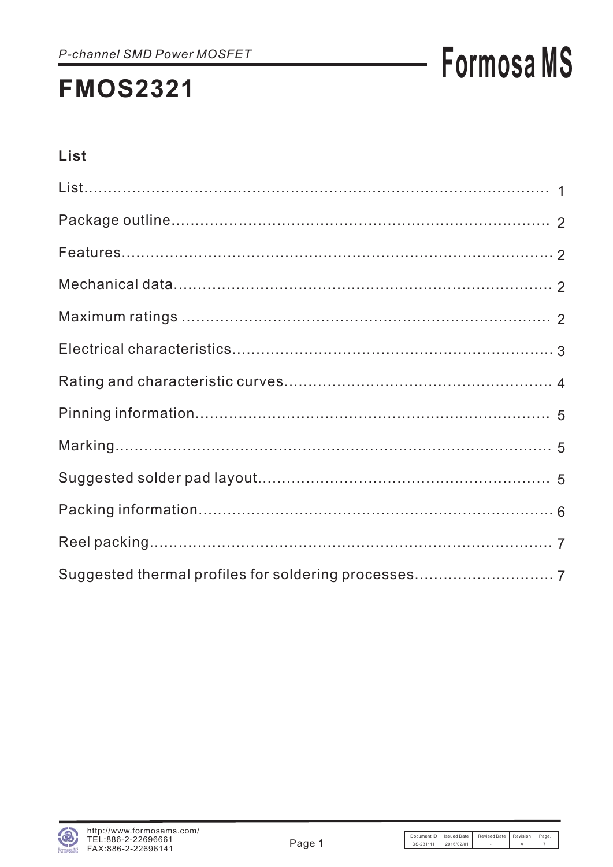## **Formosa MS**

#### List

| Suggested thermal profiles for soldering processes 7 |
|------------------------------------------------------|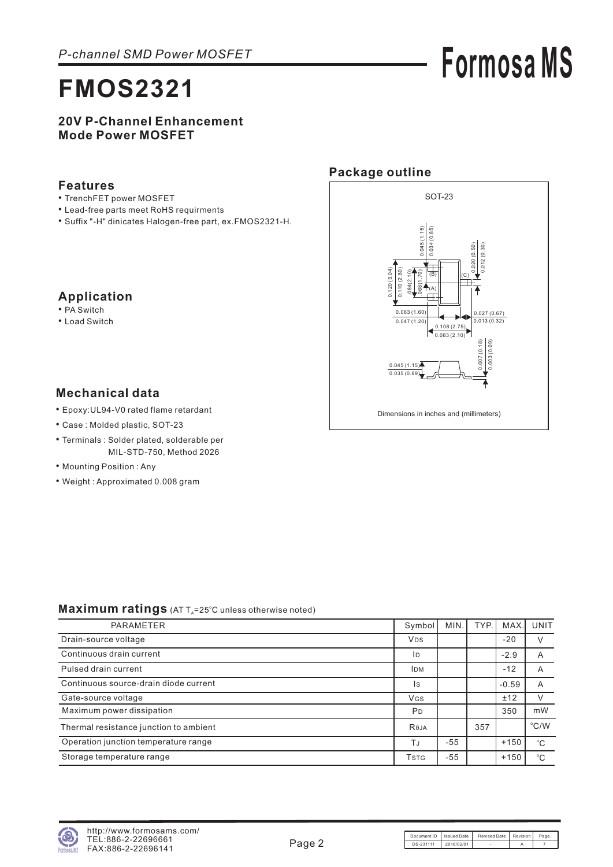# **Formosa MS**

#### **20V P-Channel Enhancement Mode Power MOSFET**

#### **Features**

- TrenchFET power MOSFET
- Lead-free parts meet RoHS requirments
- Suffix "-H" dinicates Halogen-free part, ex.FMOS2321-H. •

#### **Package outline**



### **Mechanical data**

**Application** • PA Switch • Load Switch

- Epoxy:UL94-V0 rated flame retardant •
- Case : Molded plastic, SOT-23
- Terminals : Solder plated, solderable per MIL-STD-750, Method 2026
- Mounting Position: Any
- Weight : Approximated 0.008 gram

#### Maximum ratings (AT T<sub>A</sub>=25°C unless otherwise noted)

| PARAMETER                              | Symbol                               | MIN.  | TYP. | <b>MAX</b> | <b>UNIT</b>   |
|----------------------------------------|--------------------------------------|-------|------|------------|---------------|
| Drain-source voltage                   | <b>V<sub>DS</sub></b>                |       |      | $-20$      |               |
| Continuous drain current               | ID                                   |       |      | $-2.9$     | A             |
| Pulsed drain current                   | <b>IDM</b>                           |       |      | $-12$      | A             |
| Continuous source-drain diode current  | Is                                   |       |      | $-0.59$    | A             |
| Gate-source voltage                    | <b>V<sub>GS</sub></b>                |       |      | ±12        |               |
| Maximum power dissipation              | P <sub>D</sub>                       |       |      | 350        | mW            |
| Thermal resistance junction to ambient | Reja                                 |       | 357  |            | $\degree$ C/W |
| Operation junction temperature range   | TJ                                   | $-55$ |      | $+150$     | °C            |
| Storage temperature range              | <b>T</b> <sub>S</sub> T <sub>G</sub> | $-55$ |      | $+150$     | $^{\circ}C$   |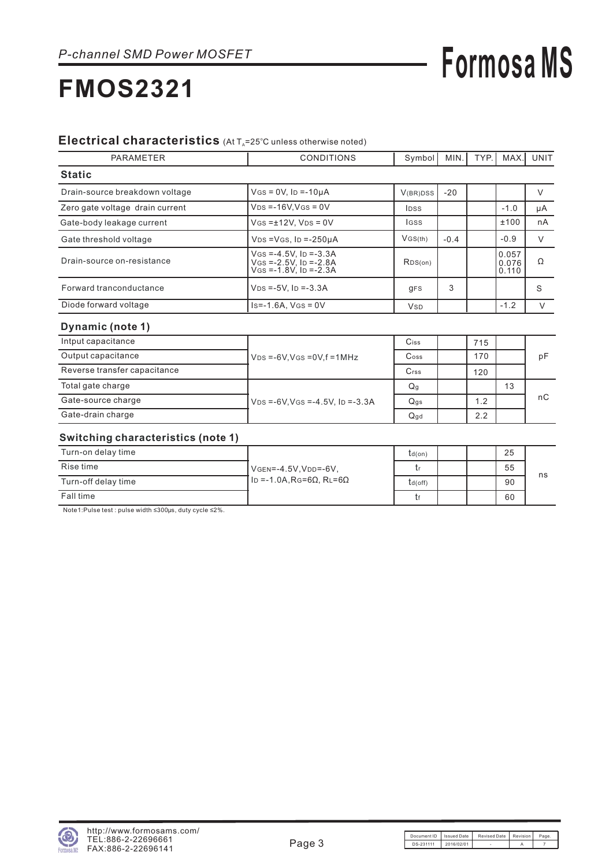## **Formosa MS**

### **FMOS2321**

#### Electrical characteristics (At T<sub>A</sub>=25°C unless otherwise noted)

| <b>PARAMETER</b>                | <b>CONDITIONS</b>                                                                    | Symbol      | MIN.   | TYP. | <b>MAX</b>              | UNIT   |
|---------------------------------|--------------------------------------------------------------------------------------|-------------|--------|------|-------------------------|--------|
| <b>Static</b>                   |                                                                                      |             |        |      |                         |        |
| Drain-source breakdown voltage  | $V$ GS = 0V, ID = -10µA                                                              | V(BR)DSS    | $-20$  |      |                         | ν      |
| Zero gate voltage drain current | $VDS = -16V$ . $VGS = 0V$                                                            | <b>IDSS</b> |        |      | $-1.0$                  | μA     |
| Gate-body leakage current       | $V$ GS = $±12V$ , $V$ DS = 0V                                                        | <b>IGSS</b> |        |      | ±100                    | nA     |
| Gate threshold voltage          | $VDS = VGS$ . ID $= -250uA$                                                          | VGS(th)     | $-0.4$ |      | $-0.9$                  | $\vee$ |
| Drain-source on-resistance      | $V$ GS =-4.5V, ID =-3.3A<br>$V$ GS = -2.5V, ID = -2.8A<br>$V$ Gs = -1.8V. ID = -2.3A | RDS(on)     |        |      | 0.057<br>0.076<br>0.110 | Ω      |
| Forward tranconductance         | $VDS = -5V$ . ID = $-3.3A$                                                           | <b>gFS</b>  | 3      |      |                         | S      |
| Diode forward voltage           | $Is = -1.6A$ . $V(s) = 0V$                                                           | <b>V</b> sp |        |      | $-1.2$                  |        |

#### **Dynamic (note 1)**

| Intput capacitance           |                                            | Ciss                        | 715 |    |     |
|------------------------------|--------------------------------------------|-----------------------------|-----|----|-----|
| Output capacitance           | $VDS = -6V$ , $VGS = 0V$ , $f = 1MHz$      | $\mathsf{C}$ <sub>oss</sub> | 170 |    | рF  |
| Reverse transfer capacitance |                                            | Crss                        | 120 |    |     |
| Total gate charge            |                                            | Q <sub>g</sub>              |     | 13 |     |
| Gate-source charge           | $VDS = -6V$ , $VGS = -4.5V$ , $ID = -3.3A$ | $Q$ gs                      | 1.2 |    | nC. |
| Gate-drain charge            |                                            | $Q$ gd                      | 2.2 |    |     |

#### **Switching characteristics (note 1)**

| Turn-on delay time  |                              | td(on)  |  | 25 |    |
|---------------------|------------------------------|---------|--|----|----|
| Rise time           | VGEN=-4.5V, VDD=-6V,         |         |  | 55 |    |
| Turn-off delay time | $I_D = -1.0A$ , Rg=6Ω, RL=6Ω | td(off) |  | 90 | ns |
| Fall time           |                              | tf      |  | 60 |    |

Note 1: Pulse test : pulse width  $\leq 300$ μs, duty cycle  $\leq 2\%$ .

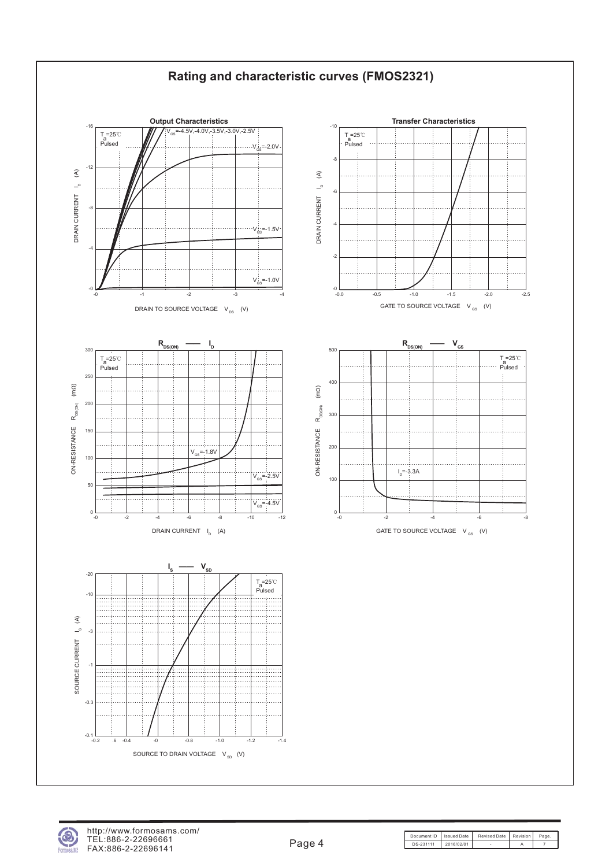

er MS

Document ID | Issued Date | Revised Date | Revision | Page DS-231111 2016/02/01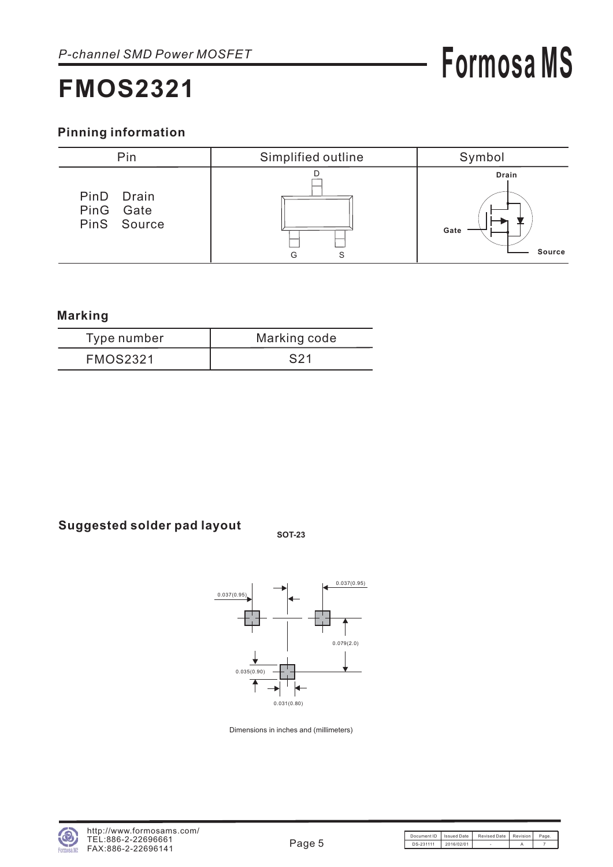## **Formosa MS**

#### **Pinning information**



#### **Marking**

| Type number     | Marking code |
|-----------------|--------------|
| <b>FMOS2321</b> | S21          |

### **Suggested solder pad layout SOT-23**





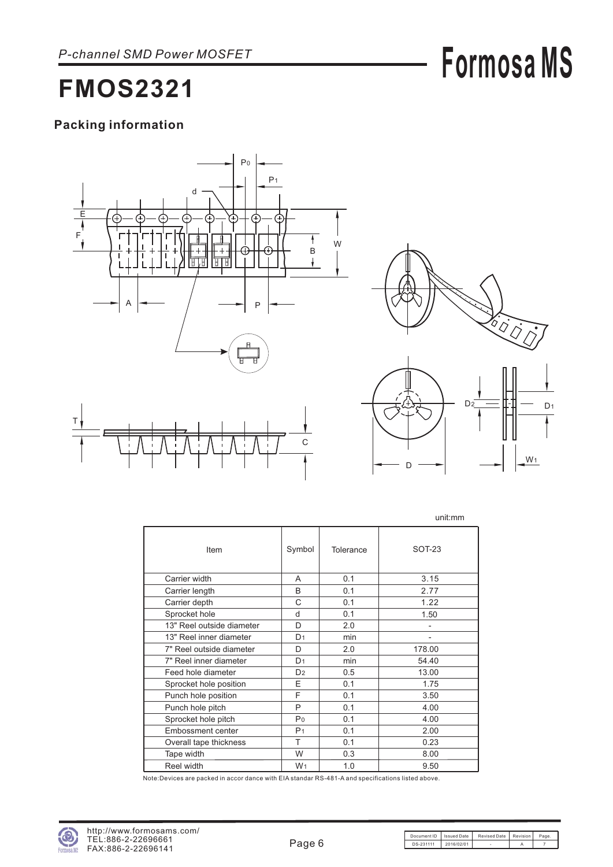## **Formosa MS**

### **FMOS2321**

#### **Packing information**





D

|                           |                |           | unit:mm       |
|---------------------------|----------------|-----------|---------------|
| Item                      | Symbol         | Tolerance | <b>SOT-23</b> |
| Carrier width             | A              | 0.1       | 3.15          |
| Carrier length            | B              | 0.1       | 2.77          |
| Carrier depth             | C              | 0.1       | 1.22          |
| Sprocket hole             | d              | 0.1       | 1.50          |
| 13" Reel outside diameter | D              | 2.0       |               |
| 13" Reel inner diameter   | D <sub>1</sub> | min       |               |
| 7" Reel outside diameter  | D              | 2.0       | 178.00        |
| 7" Reel inner diameter    | D <sub>1</sub> | min       | 54.40         |
| Feed hole diameter        | D <sub>2</sub> | 0.5       | 13.00         |
| Sprocket hole position    | E              | 0.1       | 1.75          |
| Punch hole position       | F              | 0.1       | 3.50          |
| Punch hole pitch          | P              | 0.1       | 4.00          |
| Sprocket hole pitch       | P <sub>0</sub> | 0.1       | 4.00          |
| Embossment center         | P <sub>1</sub> | 0.1       | 2.00          |
| Overall tape thickness    | T              | 0.1       | 0.23          |
| Tape width                | W              | 0.3       | 8.00          |
| Reel width                | W <sub>1</sub> | 1.0       | 9.50          |

Note:Devices are packed in accor dance with EIA standar RS-481-A and specifications listed above.